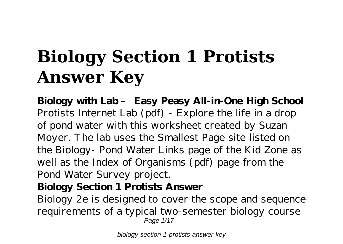# **Biology Section 1 Protists Answer Key**

**Biology with Lab – Easy Peasy All-in-One High School** Protists Internet Lab (pdf) - Explore the life in a drop of pond water with this worksheet created by Suzan Moyer. The lab uses the Smallest Page site listed on the Biology- Pond Water Links page of the Kid Zone as well as the Index of Organisms (pdf) page from the Pond Water Survey project.

## **Biology Section 1 Protists Answer**

Biology 2e is designed to cover the scope and sequence requirements of a typical two-semester biology course Page 1/17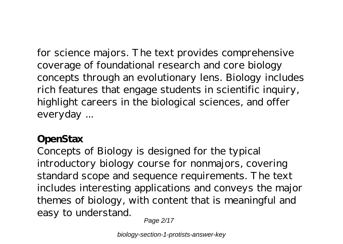for science majors. The text provides comprehensive coverage of foundational research and core biology concepts through an evolutionary lens. Biology includes rich features that engage students in scientific inquiry, highlight careers in the biological sciences, and offer everyday ...

### **OpenStax**

Concepts of Biology is designed for the typical introductory biology course for nonmajors, covering standard scope and sequence requirements. The text includes interesting applications and conveys the major themes of biology, with content that is meaningful and easy to understand.

Page 2/17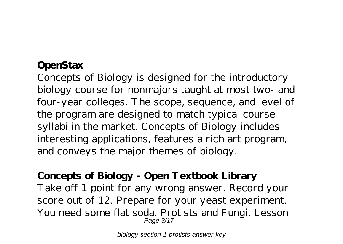# **OpenStax**

Concepts of Biology is designed for the introductory biology course for nonmajors taught at most two- and four-year colleges. The scope, sequence, and level of the program are designed to match typical course syllabi in the market. Concepts of Biology includes interesting applications, features a rich art program, and conveys the major themes of biology.

**Concepts of Biology - Open Textbook Library** Take off 1 point for any wrong answer. Record your score out of 12. Prepare for your yeast experiment. You need some flat soda. Protists and Fungi. Lesson Page 3/17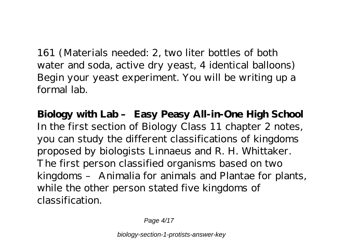161 (Materials needed: 2, two liter bottles of both water and soda, active dry yeast, 4 identical balloons) Begin your yeast experiment. You will be writing up a formal lab.

**Biology with Lab – Easy Peasy All-in-One High School** In the first section of Biology Class 11 chapter 2 notes, you can study the different classifications of kingdoms proposed by biologists Linnaeus and R. H. Whittaker. The first person classified organisms based on two kingdoms – Animalia for animals and Plantae for plants, while the other person stated five kingdoms of classification.

Page 4/17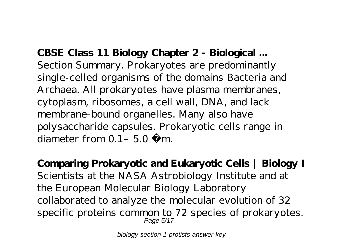**CBSE Class 11 Biology Chapter 2 - Biological ...** Section Summary. Prokaryotes are predominantly single-celled organisms of the domains Bacteria and Archaea. All prokaryotes have plasma membranes, cytoplasm, ribosomes, a cell wall, DNA, and lack membrane-bound organelles. Many also have polysaccharide capsules. Prokaryotic cells range in diameter from  $0.1 - 5.0 \mu$  m.

**Comparing Prokaryotic and Eukaryotic Cells | Biology I** Scientists at the NASA Astrobiology Institute and at the European Molecular Biology Laboratory collaborated to analyze the molecular evolution of 32 specific proteins common to 72 species of prokaryotes. Page 5/17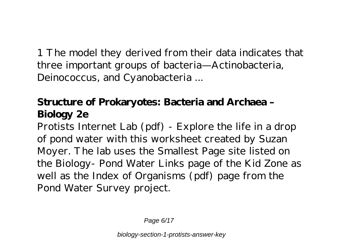1 The model they derived from their data indicates that three important groups of bacteria—Actinobacteria, Deinococcus, and Cyanobacteria ...

# **Structure of Prokaryotes: Bacteria and Archaea – Biology 2e**

Protists Internet Lab (pdf) - Explore the life in a drop of pond water with this worksheet created by Suzan Moyer. The lab uses the Smallest Page site listed on the Biology- Pond Water Links page of the Kid Zone as well as the Index of Organisms (pdf) page from the Pond Water Survey project.

Page 6/17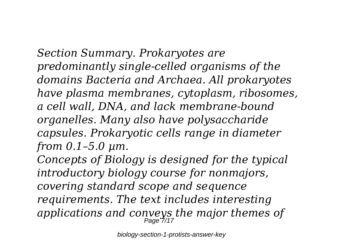*Section Summary. Prokaryotes are predominantly single-celled organisms of the domains Bacteria and Archaea. All prokaryotes have plasma membranes, cytoplasm, ribosomes, a cell wall, DNA, and lack membrane-bound organelles. Many also have polysaccharide capsules. Prokaryotic cells range in diameter from 0.1–5.0 µm.*

*Concepts of Biology is designed for the typical introductory biology course for nonmajors, covering standard scope and sequence requirements. The text includes interesting applications and conveys the major themes of* Page 7/17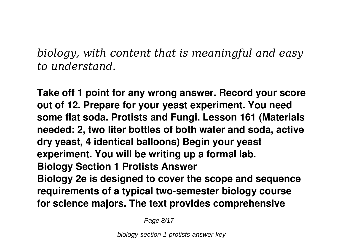*biology, with content that is meaningful and easy to understand.*

**Take off 1 point for any wrong answer. Record your score out of 12. Prepare for your yeast experiment. You need some flat soda. Protists and Fungi. Lesson 161 (Materials needed: 2, two liter bottles of both water and soda, active dry yeast, 4 identical balloons) Begin your yeast experiment. You will be writing up a formal lab. Biology Section 1 Protists Answer Biology 2e is designed to cover the scope and sequence requirements of a typical two-semester biology course for science majors. The text provides comprehensive**

Page 8/17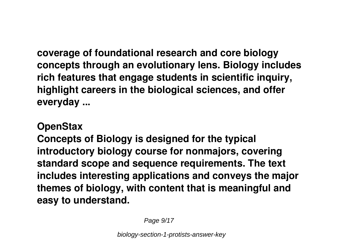**coverage of foundational research and core biology concepts through an evolutionary lens. Biology includes rich features that engage students in scientific inquiry, highlight careers in the biological sciences, and offer everyday ...**

#### **OpenStax**

**Concepts of Biology is designed for the typical introductory biology course for nonmajors, covering standard scope and sequence requirements. The text includes interesting applications and conveys the major themes of biology, with content that is meaningful and easy to understand.**

Page 9/17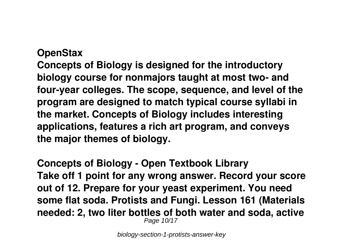#### **OpenStax**

**Concepts of Biology is designed for the introductory biology course for nonmajors taught at most two- and four-year colleges. The scope, sequence, and level of the program are designed to match typical course syllabi in the market. Concepts of Biology includes interesting applications, features a rich art program, and conveys the major themes of biology.**

**Concepts of Biology - Open Textbook Library Take off 1 point for any wrong answer. Record your score out of 12. Prepare for your yeast experiment. You need some flat soda. Protists and Fungi. Lesson 161 (Materials needed: 2, two liter bottles of both water and soda, active** Page 10/17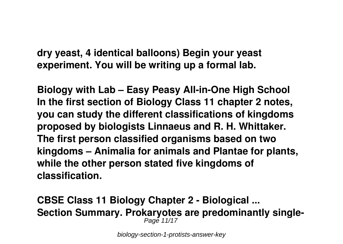**dry yeast, 4 identical balloons) Begin your yeast experiment. You will be writing up a formal lab.**

**Biology with Lab – Easy Peasy All-in-One High School In the first section of Biology Class 11 chapter 2 notes, you can study the different classifications of kingdoms proposed by biologists Linnaeus and R. H. Whittaker. The first person classified organisms based on two kingdoms – Animalia for animals and Plantae for plants, while the other person stated five kingdoms of classification.**

**CBSE Class 11 Biology Chapter 2 - Biological ... Section Summary. Prokaryotes are predominantly single-**Page 11/17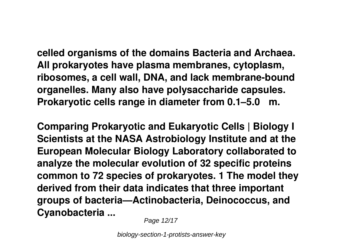**celled organisms of the domains Bacteria and Archaea. All prokaryotes have plasma membranes, cytoplasm, ribosomes, a cell wall, DNA, and lack membrane-bound organelles. Many also have polysaccharide capsules. Prokaryotic cells range in diameter from 0.1–5.0 µm.**

**Comparing Prokaryotic and Eukaryotic Cells | Biology I Scientists at the NASA Astrobiology Institute and at the European Molecular Biology Laboratory collaborated to analyze the molecular evolution of 32 specific proteins common to 72 species of prokaryotes. 1 The model they derived from their data indicates that three important groups of bacteria—Actinobacteria, Deinococcus, and Cyanobacteria ...**

Page 12/17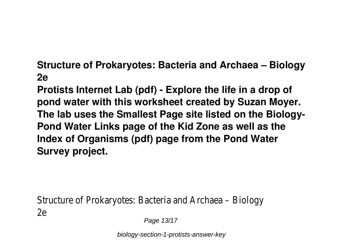**Structure of Prokaryotes: Bacteria and Archaea – Biology 2e**

**Protists Internet Lab (pdf) - Explore the life in a drop of pond water with this worksheet created by Suzan Moyer. The lab uses the Smallest Page site listed on the Biology-Pond Water Links page of the Kid Zone as well as the Index of Organisms (pdf) page from the Pond Water Survey project.**

Structure of Prokaryotes: Bacteria and Archaea – Biology 2e

Page 13/17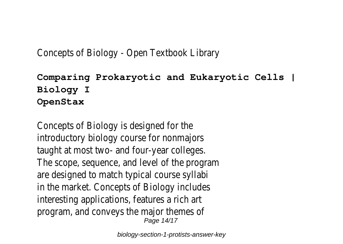## Concepts of Biology - Open Textbook Library

## **Comparing Prokaryotic and Eukaryotic Cells | Biology I OpenStax**

Concepts of Biology is designed for the introductory biology course for nonmajors taught at most two- and four-year colleges. The scope, sequence, and level of the program are designed to match typical course syllabi in the market. Concepts of Biology includes interesting applications, features a rich art program, and conveys the major themes of Page 14/17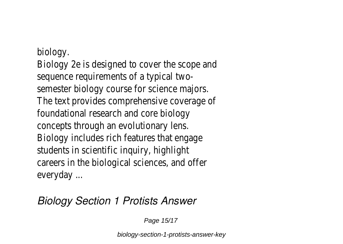#### biology.

Biology 2e is designed to cover the scope and sequence requirements of a typical twosemester biology course for science majors. The text provides comprehensive coverage of foundational research and core biology concepts through an evolutionary lens. Biology includes rich features that engage students in scientific inquiry, highlight careers in the biological sciences, and offer everyday ...

*Biology Section 1 Protists Answer*

Page 15/17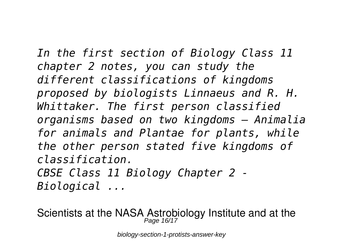*In the first section of Biology Class 11 chapter 2 notes, you can study the different classifications of kingdoms proposed by biologists Linnaeus and R. H. Whittaker. The first person classified organisms based on two kingdoms – Animalia for animals and Plantae for plants, while the other person stated five kingdoms of classification. CBSE Class 11 Biology Chapter 2 - Biological ...*

Scientists at the NASA Astrobiology Institute and at the  $\rho_{\sf age\ 16/17}^{P_{\sf 200}}$